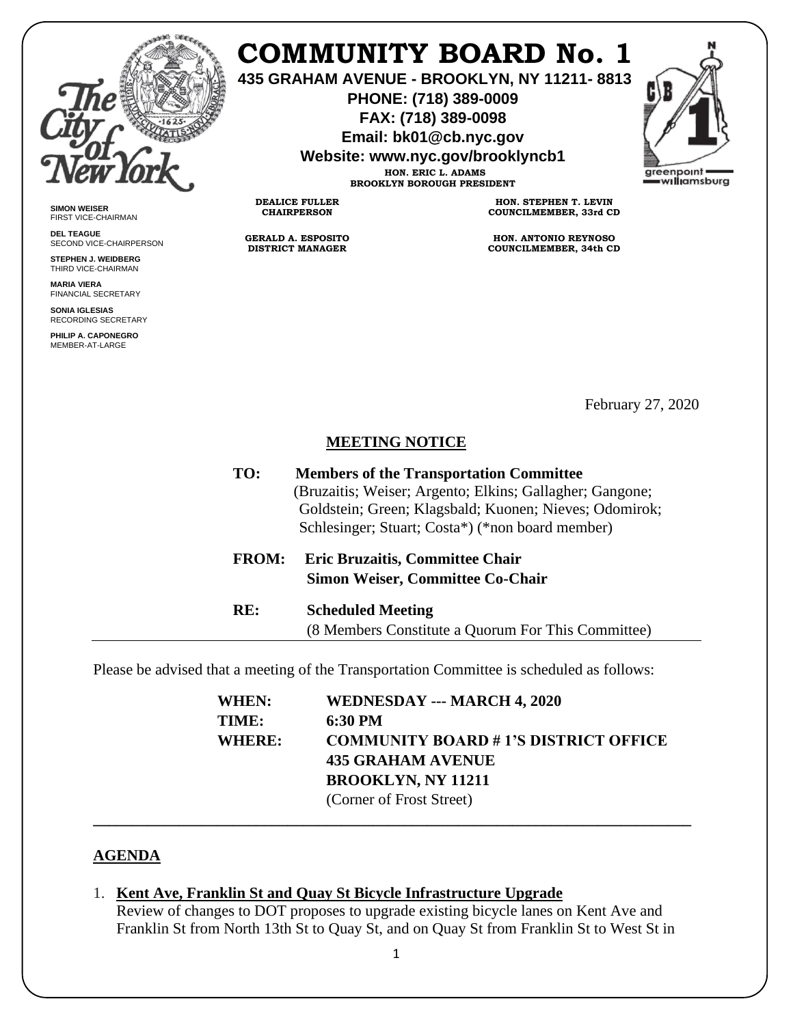

**SIMON WEISER** FIRST VICE-CHAIRMAN **DEL TEAGUE**

SECOND VICE-CHAIRPERSON **STEPHEN J. WEIDBERG** THIRD VICE-CHAIRMAN **MARIA VIERA** FINANCIAL SECRETARY **SONIA IGLESIAS** RECORDING SECRETARY **PHILIP A. CAPONEGRO** MEMBER-AT-LARGE

# **COMMUNITY BOARD No. 1**

**435 GRAHAM AVENUE - BROOKLYN, NY 11211- 8813**

**PHONE: (718) 389-0009 FAX: (718) 389-0098**

**Email: bk01@cb.nyc.gov**

**Website: www.nyc.gov/brooklyncb1**



**HON. ERIC L. ADAMS BROOKLYN BOROUGH PRESIDENT**

**DEALICE FULLER CHAIRPERSON**

**GERALD A. ESPOSITO DISTRICT MANAGER**

**HON. STEPHEN T. LEVIN COUNCILMEMBER, 33rd CD**

**HON. ANTONIO REYNOSO COUNCILMEMBER, 34th CD**

February 27, 2020

### **MEETING NOTICE**

| TO:          | <b>Members of the Transportation Committee</b><br>(Bruzaitis; Weiser; Argento; Elkins; Gallagher; Gangone;<br>Goldstein; Green; Klagsbald; Kuonen; Nieves; Odomirok;<br>Schlesinger; Stuart; Costa*) (*non board member) |  |
|--------------|--------------------------------------------------------------------------------------------------------------------------------------------------------------------------------------------------------------------------|--|
| <b>FROM:</b> | <b>Eric Bruzaitis, Committee Chair</b><br><b>Simon Weiser, Committee Co-Chair</b>                                                                                                                                        |  |
| RE:          | <b>Scheduled Meeting</b><br>(8 Members Constitute a Quorum For This Committee)                                                                                                                                           |  |

Please be advised that a meeting of the Transportation Committee is scheduled as follows:

| WHEN:  | WEDNESDAY --- MARCH 4, 2020                 |
|--------|---------------------------------------------|
| TIME:  | 6:30 PM                                     |
| WHERE: | <b>COMMUNITY BOARD #1'S DISTRICT OFFICE</b> |
|        | <b>435 GRAHAM AVENUE</b>                    |
|        | <b>BROOKLYN, NY 11211</b>                   |
|        | (Corner of Frost Street)                    |

#### **AGENDA**

1. **Kent Ave, Franklin St and Quay St Bicycle Infrastructure Upgrade**

Review of changes to DOT proposes to upgrade existing bicycle lanes on Kent Ave and Franklin St from North 13th St to Quay St, and on Quay St from Franklin St to West St in

**\_\_\_\_\_\_\_\_\_\_\_\_\_\_\_\_\_\_\_\_\_\_\_\_\_\_\_\_\_\_\_\_\_\_\_\_\_\_\_\_\_\_\_\_\_\_\_\_\_\_\_\_\_\_\_\_\_\_\_\_\_\_\_\_\_\_\_\_\_\_\_\_\_\_\_\_\_**